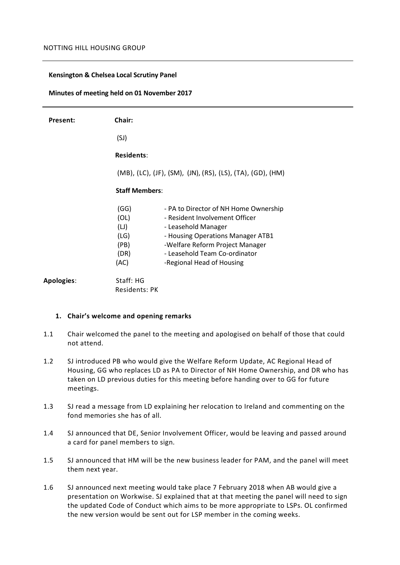#### **Kensington & Chelsea Local Scrutiny Panel**

#### **Minutes of meeting held on 01 November 2017**

| Present:   | Chair:                                                     |                                                                                                                                                                                                                                      |
|------------|------------------------------------------------------------|--------------------------------------------------------------------------------------------------------------------------------------------------------------------------------------------------------------------------------------|
|            | (SJ)                                                       |                                                                                                                                                                                                                                      |
|            | <b>Residents:</b>                                          |                                                                                                                                                                                                                                      |
|            | (MB), (LC), (JF), (SM), (JN), (RS), (LS), (TA), (GD), (HM) |                                                                                                                                                                                                                                      |
|            | <b>Staff Members:</b>                                      |                                                                                                                                                                                                                                      |
|            | (GG)<br>(OL)<br>(LJ)<br>(LG)<br>(PB)<br>(DR)<br>(AC)       | - PA to Director of NH Home Ownership<br>- Resident Involvement Officer<br>- Leasehold Manager<br>- Housing Operations Manager ATB1<br>-Welfare Reform Project Manager<br>- Leasehold Team Co-ordinator<br>-Regional Head of Housing |
| Apologies: | Staff: HG<br><b>Residents: PK</b>                          |                                                                                                                                                                                                                                      |

#### **1. Chair's welcome and opening remarks**

- 1.1 Chair welcomed the panel to the meeting and apologised on behalf of those that could not attend.
- 1.2 SJ introduced PB who would give the Welfare Reform Update, AC Regional Head of Housing, GG who replaces LD as PA to Director of NH Home Ownership, and DR who has taken on LD previous duties for this meeting before handing over to GG for future meetings.
- 1.3 SJ read a message from LD explaining her relocation to Ireland and commenting on the fond memories she has of all.
- 1.4 SJ announced that DE, Senior Involvement Officer, would be leaving and passed around a card for panel members to sign.
- 1.5 SJ announced that HM will be the new business leader for PAM, and the panel will meet them next year.
- 1.6 SJ announced next meeting would take place 7 February 2018 when AB would give a presentation on Workwise. SJ explained that at that meeting the panel will need to sign the updated Code of Conduct which aims to be more appropriate to LSPs. OL confirmed the new version would be sent out for LSP member in the coming weeks.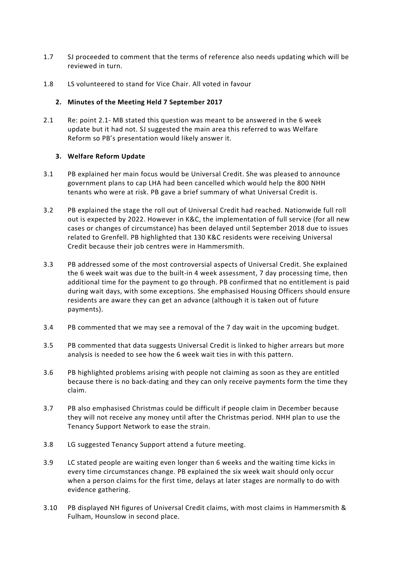- 1.7 SJ proceeded to comment that the terms of reference also needs updating which will be reviewed in turn.
- 1.8 LS volunteered to stand for Vice Chair. All voted in favour

# **2. Minutes of the Meeting Held 7 September 2017**

2.1 Re: point 2.1- MB stated this question was meant to be answered in the 6 week update but it had not. SJ suggested the main area this referred to was Welfare Reform so PB's presentation would likely answer it.

## **3. Welfare Reform Update**

- 3.1 PB explained her main focus would be Universal Credit. She was pleased to announce government plans to cap LHA had been cancelled which would help the 800 NHH tenants who were at risk. PB gave a brief summary of what Universal Credit is.
- 3.2 PB explained the stage the roll out of Universal Credit had reached. Nationwide full roll out is expected by 2022. However in K&C, the implementation of full service (for all new cases or changes of circumstance) has been delayed until September 2018 due to issues related to Grenfell. PB highlighted that 130 K&C residents were receiving Universal Credit because their job centres were in Hammersmith.
- 3.3 PB addressed some of the most controversial aspects of Universal Credit. She explained the 6 week wait was due to the built-in 4 week assessment, 7 day processing time, then additional time for the payment to go through. PB confirmed that no entitlement is paid during wait days, with some exceptions. She emphasised Housing Officers should ensure residents are aware they can get an advance (although it is taken out of future payments).
- 3.4 PB commented that we may see a removal of the 7 day wait in the upcoming budget.
- 3.5 PB commented that data suggests Universal Credit is linked to higher arrears but more analysis is needed to see how the 6 week wait ties in with this pattern.
- 3.6 PB highlighted problems arising with people not claiming as soon as they are entitled because there is no back-dating and they can only receive payments form the time they claim.
- 3.7 PB also emphasised Christmas could be difficult if people claim in December because they will not receive any money until after the Christmas period. NHH plan to use the Tenancy Support Network to ease the strain.
- 3.8 LG suggested Tenancy Support attend a future meeting.
- 3.9 LC stated people are waiting even longer than 6 weeks and the waiting time kicks in every time circumstances change. PB explained the six week wait should only occur when a person claims for the first time, delays at later stages are normally to do with evidence gathering.
- 3.10 PB displayed NH figures of Universal Credit claims, with most claims in Hammersmith & Fulham, Hounslow in second place.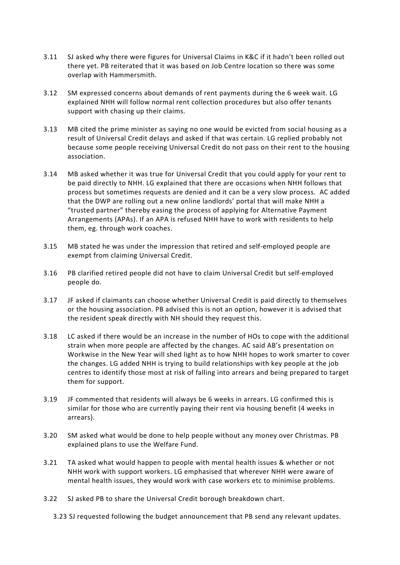- 3.11 SJ asked why there were figures for Universal Claims in K&C if it hadn't been rolled out there yet. PB reiterated that it was based on Job Centre location so there was some overlap with Hammersmith.
- 3.12 SM expressed concerns about demands of rent payments during the 6 week wait. LG explained NHH will follow normal rent collection procedures but also offer tenants support with chasing up their claims.
- 3.13 MB cited the prime minister as saying no one would be evicted from social housing as a result of Universal Credit delays and asked if that was certain. LG replied probably not because some people receiving Universal Credit do not pass on their rent to the housing association.
- 3.14 MB asked whether it was true for Universal Credit that you could apply for your rent to be paid directly to NHH. LG explained that there are occasions when NHH follows that process but sometimes requests are denied and it can be a very slow process. AC added that the DWP are rolling out a new online landlords' portal that will make NHH a "trusted partner" thereby easing the process of applying for Alternative Payment Arrangements (APAs). If an APA is refused NHH have to work with residents to help them, eg. through work coaches.
- 3.15 MB stated he was under the impression that retired and self-employed people are exempt from claiming Universal Credit.
- 3.16 PB clarified retired people did not have to claim Universal Credit but self-employed people do.
- 3.17 JF asked if claimants can choose whether Universal Credit is paid directly to themselves or the housing association. PB advised this is not an option, however it is advised that the resident speak directly with NH should they request this.
- 3.18 LC asked if there would be an increase in the number of HOs to cope with the additional strain when more people are affected by the changes. AC said AB's presentation on Workwise in the New Year will shed light as to how NHH hopes to work smarter to cover the changes. LG added NHH is trying to build relationships with key people at the job centres to identify those most at risk of falling into arrears and being prepared to target them for support.
- 3.19 JF commented that residents will always be 6 weeks in arrears. LG confirmed this is similar for those who are currently paying their rent via housing benefit (4 weeks in arrears).
- 3.20 SM asked what would be done to help people without any money over Christmas. PB explained plans to use the Welfare Fund.
- 3.21 TA asked what would happen to people with mental health issues & whether or not NHH work with support workers. LG emphasised that wherever NHH were aware of mental health issues, they would work with case workers etc to minimise problems.
- 3.22 SJ asked PB to share the Universal Credit borough breakdown chart.

3.23 SJ requested following the budget announcement that PB send any relevant updates.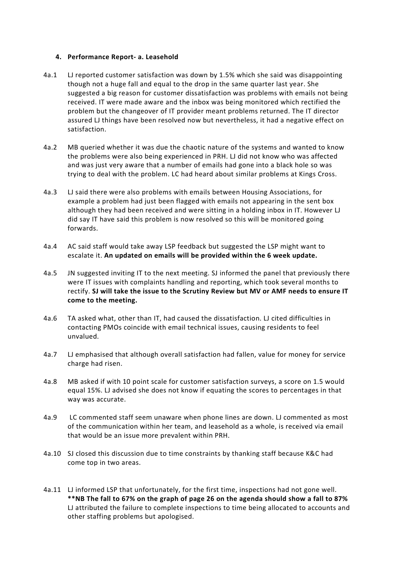## **4. Performance Report- a. Leasehold**

- 4a.1 LJ reported customer satisfaction was down by 1.5% which she said was disappointing though not a huge fall and equal to the drop in the same quarter last year. She suggested a big reason for customer dissatisfaction was problems with emails not being received. IT were made aware and the inbox was being monitored which rectified the problem but the changeover of IT provider meant problems returned. The IT director assured LJ things have been resolved now but nevertheless, it had a negative effect on satisfaction.
- 4a.2 MB queried whether it was due the chaotic nature of the systems and wanted to know the problems were also being experienced in PRH. LJ did not know who was affected and was just very aware that a number of emails had gone into a black hole so was trying to deal with the problem. LC had heard about similar problems at Kings Cross.
- 4a.3 LJ said there were also problems with emails between Housing Associations, for example a problem had just been flagged with emails not appearing in the sent box although they had been received and were sitting in a holding inbox in IT. However LJ did say IT have said this problem is now resolved so this will be monitored going forwards.
- 4a.4 AC said staff would take away LSP feedback but suggested the LSP might want to escalate it. **An updated on emails will be provided within the 6 week update.**
- 4a.5 JN suggested inviting IT to the next meeting. SJ informed the panel that previously there were IT issues with complaints handling and reporting, which took several months to rectify. **SJ will take the issue to the Scrutiny Review but MV or AMF needs to ensure IT come to the meeting.**
- 4a.6 TA asked what, other than IT, had caused the dissatisfaction. LJ cited difficulties in contacting PMOs coincide with email technical issues, causing residents to feel unvalued.
- 4a.7 LJ emphasised that although overall satisfaction had fallen, value for money for service charge had risen.
- 4a.8 MB asked if with 10 point scale for customer satisfaction surveys, a score on 1.5 would equal 15%. LJ advised she does not know if equating the scores to percentages in that way was accurate.
- 4a.9 LC commented staff seem unaware when phone lines are down. LJ commented as most of the communication within her team, and leasehold as a whole, is received via email that would be an issue more prevalent within PRH.
- 4a.10 SJ closed this discussion due to time constraints by thanking staff because K&C had come top in two areas.
- 4a.11 LJ informed LSP that unfortunately, for the first time, inspections had not gone well. **\*\*NB The fall to 67% on the graph of page 26 on the agenda should show a fall to 87%** LJ attributed the failure to complete inspections to time being allocated to accounts and other staffing problems but apologised.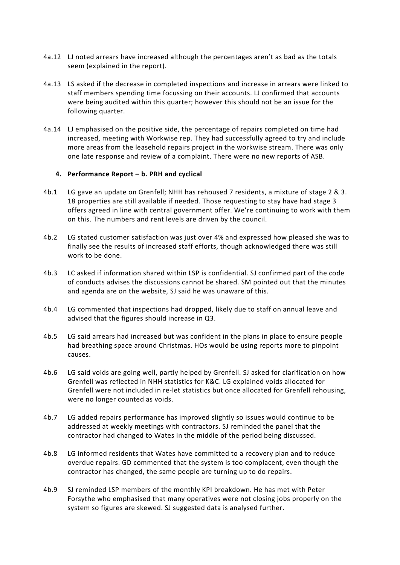- 4a.12 LJ noted arrears have increased although the percentages aren't as bad as the totals seem (explained in the report).
- 4a.13 LS asked if the decrease in completed inspections and increase in arrears were linked to staff members spending time focussing on their accounts. LJ confirmed that accounts were being audited within this quarter; however this should not be an issue for the following quarter.
- 4a.14 LJ emphasised on the positive side, the percentage of repairs completed on time had increased, meeting with Workwise rep. They had successfully agreed to try and include more areas from the leasehold repairs project in the workwise stream. There was only one late response and review of a complaint. There were no new reports of ASB.

### **4. Performance Report – b. PRH and cyclical**

- 4b.1 LG gave an update on Grenfell; NHH has rehoused 7 residents, a mixture of stage 2 & 3. 18 properties are still available if needed. Those requesting to stay have had stage 3 offers agreed in line with central government offer. We're continuing to work with them on this. The numbers and rent levels are driven by the council.
- 4b.2 LG stated customer satisfaction was just over 4% and expressed how pleased she was to finally see the results of increased staff efforts, though acknowledged there was still work to be done.
- 4b.3 LC asked if information shared within LSP is confidential. SJ confirmed part of the code of conducts advises the discussions cannot be shared. SM pointed out that the minutes and agenda are on the website, SJ said he was unaware of this.
- 4b.4 LG commented that inspections had dropped, likely due to staff on annual leave and advised that the figures should increase in Q3.
- 4b.5 LG said arrears had increased but was confident in the plans in place to ensure people had breathing space around Christmas. HOs would be using reports more to pinpoint causes.
- 4b.6 LG said voids are going well, partly helped by Grenfell. SJ asked for clarification on how Grenfell was reflected in NHH statistics for K&C. LG explained voids allocated for Grenfell were not included in re-let statistics but once allocated for Grenfell rehousing, were no longer counted as voids.
- 4b.7 LG added repairs performance has improved slightly so issues would continue to be addressed at weekly meetings with contractors. SJ reminded the panel that the contractor had changed to Wates in the middle of the period being discussed.
- 4b.8 LG informed residents that Wates have committed to a recovery plan and to reduce overdue repairs. GD commented that the system is too complacent, even though the contractor has changed, the same people are turning up to do repairs.
- 4b.9 SJ reminded LSP members of the monthly KPI breakdown. He has met with Peter Forsythe who emphasised that many operatives were not closing jobs properly on the system so figures are skewed. SJ suggested data is analysed further.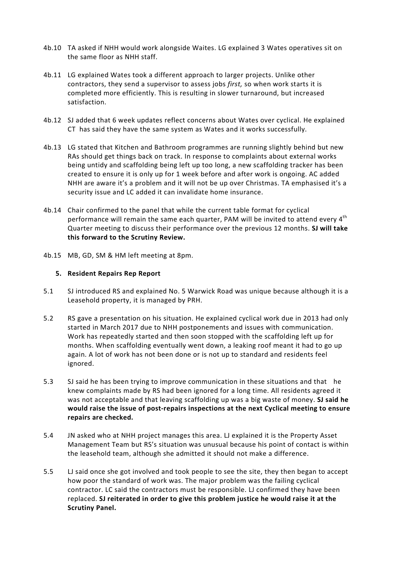- 4b.10 TA asked if NHH would work alongside Waites. LG explained 3 Wates operatives sit on the same floor as NHH staff.
- 4b.11 LG explained Wates took a different approach to larger projects. Unlike other contractors, they send a supervisor to assess jobs *first,* so when work starts it is completed more efficiently. This is resulting in slower turnaround, but increased satisfaction.
- 4b.12 SJ added that 6 week updates reflect concerns about Wates over cyclical. He explained CT has said they have the same system as Wates and it works successfully.
- 4b.13 LG stated that Kitchen and Bathroom programmes are running slightly behind but new RAs should get things back on track. In response to complaints about external works being untidy and scaffolding being left up too long, a new scaffolding tracker has been created to ensure it is only up for 1 week before and after work is ongoing. AC added NHH are aware it's a problem and it will not be up over Christmas. TA emphasised it's a security issue and LC added it can invalidate home insurance.
- 4b.14 Chair confirmed to the panel that while the current table format for cyclical performance will remain the same each quarter, PAM will be invited to attend every 4<sup>th</sup> Quarter meeting to discuss their performance over the previous 12 months. **SJ will take this forward to the Scrutiny Review.**
- 4b.15 MB, GD, SM & HM left meeting at 8pm.

### **5. Resident Repairs Rep Report**

- 5.1 SJ introduced RS and explained No. 5 Warwick Road was unique because although it is a Leasehold property, it is managed by PRH.
- 5.2 RS gave a presentation on his situation. He explained cyclical work due in 2013 had only started in March 2017 due to NHH postponements and issues with communication. Work has repeatedly started and then soon stopped with the scaffolding left up for months. When scaffolding eventually went down, a leaking roof meant it had to go up again. A lot of work has not been done or is not up to standard and residents feel ignored.
- 5.3 SJ said he has been trying to improve communication in these situations and that he knew complaints made by RS had been ignored for a long time. All residents agreed it was not acceptable and that leaving scaffolding up was a big waste of money. **SJ said he would raise the issue of post-repairs inspections at the next Cyclical meeting to ensure repairs are checked.**
- 5.4 JN asked who at NHH project manages this area. LJ explained it is the Property Asset Management Team but RS's situation was unusual because his point of contact is within the leasehold team, although she admitted it should not make a difference.
- 5.5 LJ said once she got involved and took people to see the site, they then began to accept how poor the standard of work was. The major problem was the failing cyclical contractor. LC said the contractors must be responsible. LJ confirmed they have been replaced. **SJ reiterated in order to give this problem justice he would raise it at the Scrutiny Panel.**